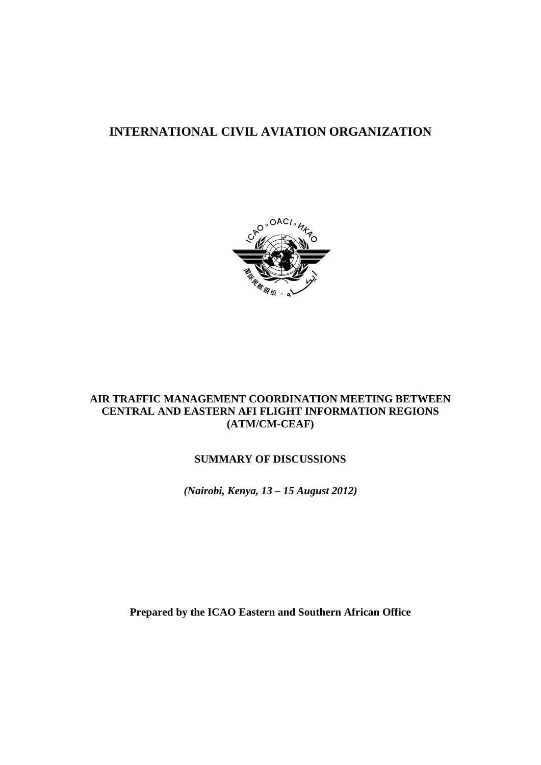# **INTERNATIONAL CIVIL AVIATION ORGANIZATION**



## **AIR TRAFFIC MANAGEMENT COORDINATION MEETING BETWEEN CENTRAL AND EASTERN AFI FLIGHT INFORMATION REGIONS (ATM/CM-CEAF)**

## **SUMMARY OF DISCUSSIONS**

*(Nairobi, Kenya, 13 – 15 August 2012)*

**Prepared by the ICAO Eastern and Southern African Office**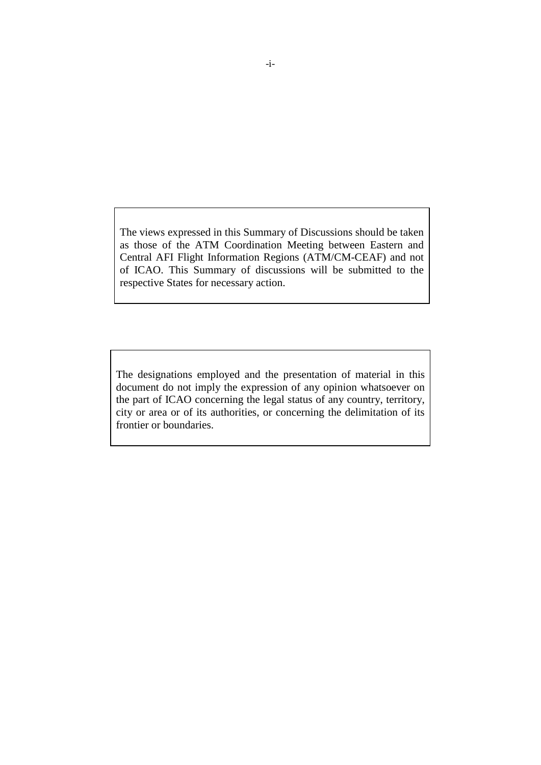The views expressed in this Summary of Discussions should be taken as those of the ATM Coordination Meeting between Eastern and Central AFI Flight Information Regions (ATM/CM-CEAF) and not of ICAO. This Summary of discussions will be submitted to the respective States for necessary action.

The designations employed and the presentation of material in this document do not imply the expression of any opinion whatsoever on the part of ICAO concerning the legal status of any country, territory, city or area or of its authorities, or concerning the delimitation of its frontier or boundaries.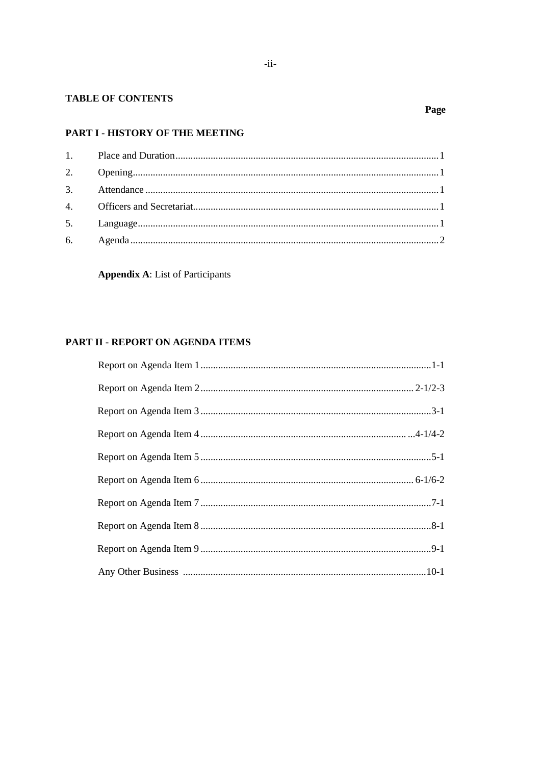### **TABLE OF CONTENTS**

# PART I - HISTORY OF THE MEETING

**Appendix A:** List of Participants

# PART II - REPORT ON AGENDA ITEMS

# Page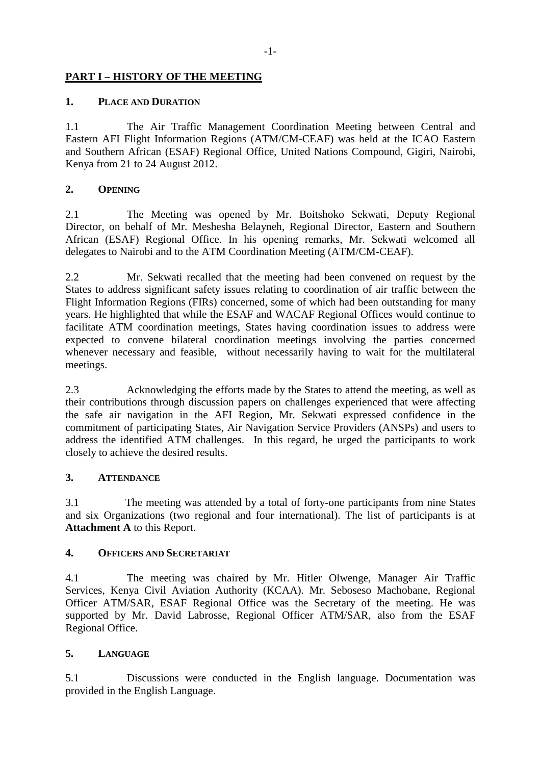# **PART I – HISTORY OF THE MEETING**

## **1. PLACE AND DURATION**

1.1 The Air Traffic Management Coordination Meeting between Central and Eastern AFI Flight Information Regions (ATM/CM-CEAF) was held at the ICAO Eastern and Southern African (ESAF) Regional Office, United Nations Compound, Gigiri, Nairobi, Kenya from 21 to 24 August 2012.

## **2. OPENING**

2.1 The Meeting was opened by Mr. Boitshoko Sekwati, Deputy Regional Director, on behalf of Mr. Meshesha Belayneh, Regional Director, Eastern and Southern African (ESAF) Regional Office. In his opening remarks, Mr. Sekwati welcomed all delegates to Nairobi and to the ATM Coordination Meeting (ATM/CM-CEAF).

2.2 Mr. Sekwati recalled that the meeting had been convened on request by the States to address significant safety issues relating to coordination of air traffic between the Flight Information Regions (FIRs) concerned, some of which had been outstanding for many years. He highlighted that while the ESAF and WACAF Regional Offices would continue to facilitate ATM coordination meetings, States having coordination issues to address were expected to convene bilateral coordination meetings involving the parties concerned whenever necessary and feasible, without necessarily having to wait for the multilateral meetings.

2.3 Acknowledging the efforts made by the States to attend the meeting, as well as their contributions through discussion papers on challenges experienced that were affecting the safe air navigation in the AFI Region, Mr. Sekwati expressed confidence in the commitment of participating States, Air Navigation Service Providers (ANSPs) and users to address the identified ATM challenges. In this regard, he urged the participants to work closely to achieve the desired results.

## **3. ATTENDANCE**

3.1 The meeting was attended by a total of forty-one participants from nine States and six Organizations (two regional and four international). The list of participants is at **Attachment A** to this Report.

# **4. OFFICERS AND SECRETARIAT**

4.1 The meeting was chaired by Mr. Hitler Olwenge, Manager Air Traffic Services, Kenya Civil Aviation Authority (KCAA). Mr. Seboseso Machobane, Regional Officer ATM/SAR, ESAF Regional Office was the Secretary of the meeting. He was supported by Mr. David Labrosse, Regional Officer ATM/SAR, also from the ESAF Regional Office.

## **5. LANGUAGE**

5.1 Discussions were conducted in the English language. Documentation was provided in the English Language.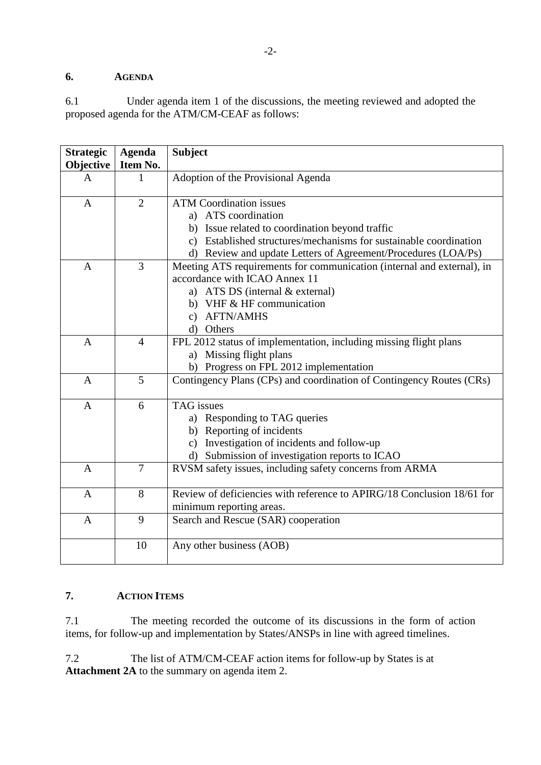# **6. AGENDA**

6.1 Under agenda item 1 of the discussions, the meeting reviewed and adopted the proposed agenda for the ATM/CM-CEAF as follows:

| <b>Strategic</b><br>Objective | <b>Agenda</b><br>Item No. | <b>Subject</b>                                                                                                                                                                                                                                               |
|-------------------------------|---------------------------|--------------------------------------------------------------------------------------------------------------------------------------------------------------------------------------------------------------------------------------------------------------|
| A                             | 1                         | Adoption of the Provisional Agenda                                                                                                                                                                                                                           |
| $\mathbf{A}$                  | $\overline{2}$            | <b>ATM Coordination issues</b><br>a) ATS coordination<br>b) Issue related to coordination beyond traffic<br>Established structures/mechanisms for sustainable coordination<br>$\mathbf{c})$<br>d) Review and update Letters of Agreement/Procedures (LOA/Ps) |
| $\mathbf{A}$                  | 3                         | Meeting ATS requirements for communication (internal and external), in<br>accordance with ICAO Annex 11<br>a) ATS DS (internal & external)<br>b) VHF & HF communication<br>c) AFTN/AMHS<br>d) Others                                                         |
| $\mathbf{A}$                  | $\overline{4}$            | FPL 2012 status of implementation, including missing flight plans<br>a) Missing flight plans<br>b) Progress on FPL 2012 implementation                                                                                                                       |
| $\mathbf{A}$                  | 5                         | Contingency Plans (CPs) and coordination of Contingency Routes (CRs)                                                                                                                                                                                         |
| $\mathbf{A}$                  | 6                         | <b>TAG</b> issues<br>a) Responding to TAG queries<br>b) Reporting of incidents<br>c) Investigation of incidents and follow-up<br>Submission of investigation reports to ICAO<br>d)                                                                           |
| $\overline{A}$                | $\overline{7}$            | RVSM safety issues, including safety concerns from ARMA                                                                                                                                                                                                      |
| $\mathbf{A}$                  | 8                         | Review of deficiencies with reference to APIRG/18 Conclusion 18/61 for<br>minimum reporting areas.                                                                                                                                                           |
| $\mathbf{A}$                  | 9                         | Search and Rescue (SAR) cooperation                                                                                                                                                                                                                          |
|                               | 10                        | Any other business (AOB)                                                                                                                                                                                                                                     |

# **7. ACTION ITEMS**

7.1 The meeting recorded the outcome of its discussions in the form of action items, for follow-up and implementation by States/ANSPs in line with agreed timelines.

7.2 The list of ATM/CM-CEAF action items for follow-up by States is at **Attachment 2A** to the summary on agenda item 2.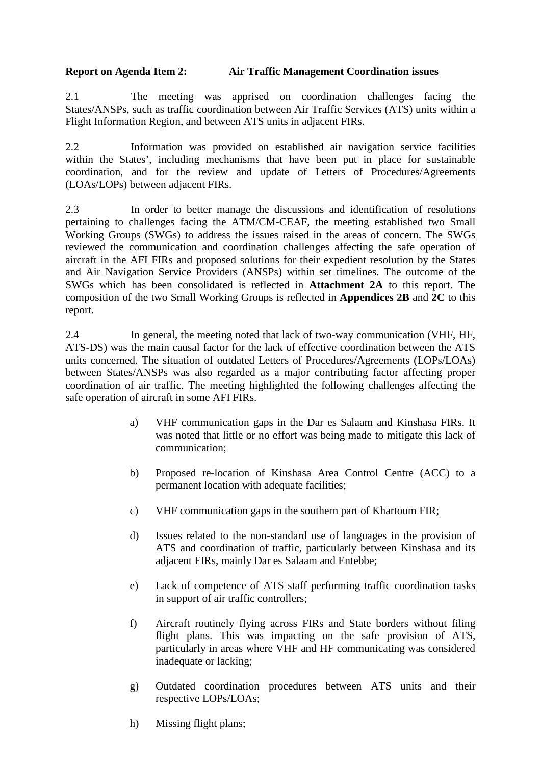## **Report on Agenda Item 2: Air Traffic Management Coordination issues**

2.1 The meeting was apprised on coordination challenges facing the States/ANSPs, such as traffic coordination between Air Traffic Services (ATS) units within a Flight Information Region, and between ATS units in adjacent FIRs.

2.2 Information was provided on established air navigation service facilities within the States', including mechanisms that have been put in place for sustainable coordination, and for the review and update of Letters of Procedures/Agreements (LOAs/LOPs) between adjacent FIRs.

2.3 In order to better manage the discussions and identification of resolutions pertaining to challenges facing the ATM/CM-CEAF, the meeting established two Small Working Groups (SWGs) to address the issues raised in the areas of concern. The SWGs reviewed the communication and coordination challenges affecting the safe operation of aircraft in the AFI FIRs and proposed solutions for their expedient resolution by the States and Air Navigation Service Providers (ANSPs) within set timelines. The outcome of the SWGs which has been consolidated is reflected in **Attachment 2A** to this report. The composition of the two Small Working Groups is reflected in **Appendices 2B** and **2C** to this report.

2.4 In general, the meeting noted that lack of two-way communication (VHF, HF, ATS-DS) was the main causal factor for the lack of effective coordination between the ATS units concerned. The situation of outdated Letters of Procedures/Agreements (LOPs/LOAs) between States/ANSPs was also regarded as a major contributing factor affecting proper coordination of air traffic. The meeting highlighted the following challenges affecting the safe operation of aircraft in some AFI FIRs.

- a) VHF communication gaps in the Dar es Salaam and Kinshasa FIRs. It was noted that little or no effort was being made to mitigate this lack of communication;
- b) Proposed re-location of Kinshasa Area Control Centre (ACC) to a permanent location with adequate facilities;
- c) VHF communication gaps in the southern part of Khartoum FIR;
- d) Issues related to the non-standard use of languages in the provision of ATS and coordination of traffic, particularly between Kinshasa and its adjacent FIRs, mainly Dar es Salaam and Entebbe;
- e) Lack of competence of ATS staff performing traffic coordination tasks in support of air traffic controllers;
- f) Aircraft routinely flying across FIRs and State borders without filing flight plans. This was impacting on the safe provision of ATS, particularly in areas where VHF and HF communicating was considered inadequate or lacking;
- g) Outdated coordination procedures between ATS units and their respective LOPs/LOAs;
- h) Missing flight plans;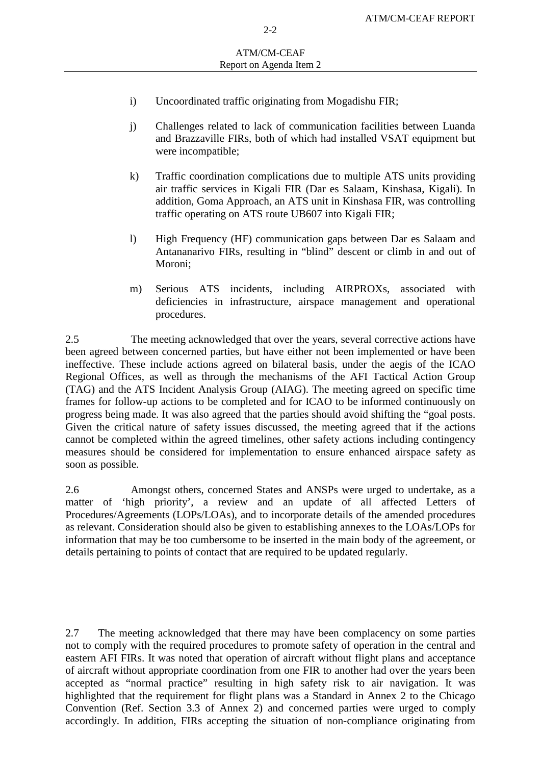- i) Uncoordinated traffic originating from Mogadishu FIR;
- j) Challenges related to lack of communication facilities between Luanda and Brazzaville FIRs, both of which had installed VSAT equipment but were incompatible;
- k) Traffic coordination complications due to multiple ATS units providing air traffic services in Kigali FIR (Dar es Salaam, Kinshasa, Kigali). In addition, Goma Approach, an ATS unit in Kinshasa FIR, was controlling traffic operating on ATS route UB607 into Kigali FIR;
- l) High Frequency (HF) communication gaps between Dar es Salaam and Antananarivo FIRs, resulting in "blind" descent or climb in and out of Moroni;
- m) Serious ATS incidents, including AIRPROXs, associated with deficiencies in infrastructure, airspace management and operational procedures.

2.5 The meeting acknowledged that over the years, several corrective actions have been agreed between concerned parties, but have either not been implemented or have been ineffective. These include actions agreed on bilateral basis, under the aegis of the ICAO Regional Offices, as well as through the mechanisms of the AFI Tactical Action Group (TAG) and the ATS Incident Analysis Group (AIAG). The meeting agreed on specific time frames for follow-up actions to be completed and for ICAO to be informed continuously on progress being made. It was also agreed that the parties should avoid shifting the "goal posts. Given the critical nature of safety issues discussed, the meeting agreed that if the actions cannot be completed within the agreed timelines, other safety actions including contingency measures should be considered for implementation to ensure enhanced airspace safety as soon as possible.

2.6 Amongst others, concerned States and ANSPs were urged to undertake, as a matter of 'high priority', a review and an update of all affected Letters of Procedures/Agreements (LOPs/LOAs), and to incorporate details of the amended procedures as relevant. Consideration should also be given to establishing annexes to the LOAs/LOPs for information that may be too cumbersome to be inserted in the main body of the agreement, or details pertaining to points of contact that are required to be updated regularly.

2.7 The meeting acknowledged that there may have been complacency on some parties not to comply with the required procedures to promote safety of operation in the central and eastern AFI FIRs. It was noted that operation of aircraft without flight plans and acceptance of aircraft without appropriate coordination from one FIR to another had over the years been accepted as "normal practice" resulting in high safety risk to air navigation. It was highlighted that the requirement for flight plans was a Standard in Annex 2 to the Chicago Convention (Ref. Section 3.3 of Annex 2) and concerned parties were urged to comply accordingly. In addition, FIRs accepting the situation of non-compliance originating from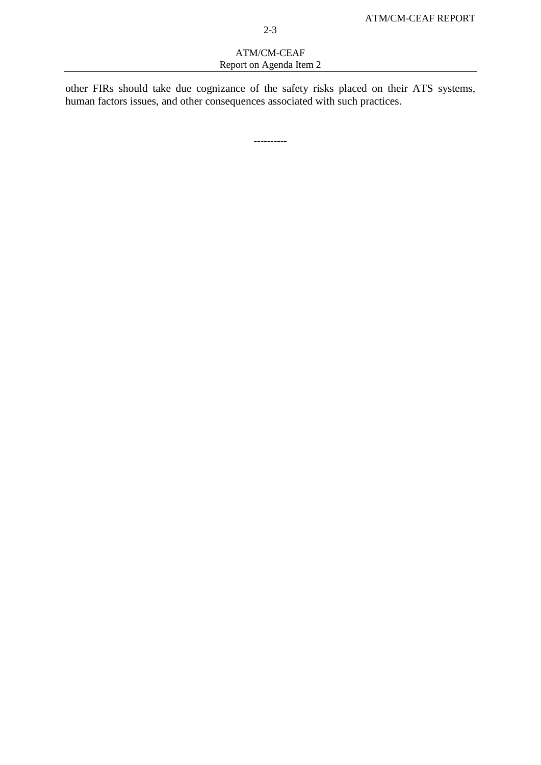### ATM/CM-CEAF Report on Agenda Item 2

other FIRs should take due cognizance of the safety risks placed on their ATS systems, human factors issues, and other consequences associated with such practices.

----------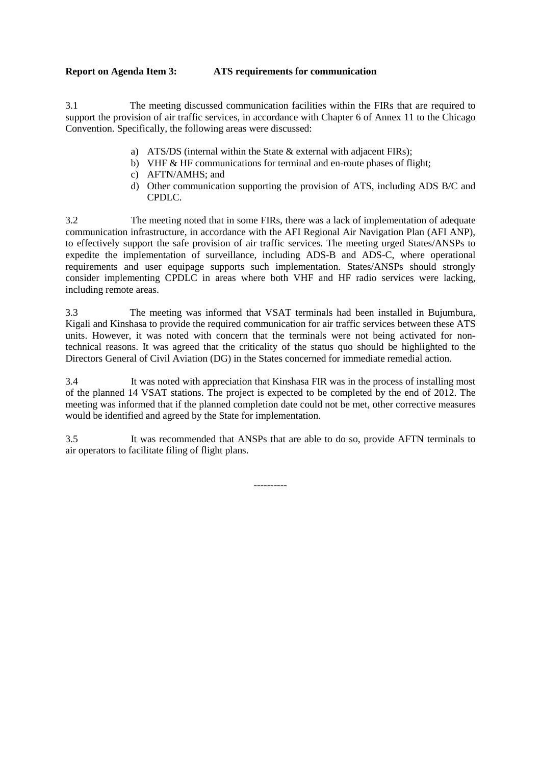### **Report on Agenda Item 3: ATS requirements for communication**

3.1 The meeting discussed communication facilities within the FIRs that are required to support the provision of air traffic services, in accordance with Chapter 6 of Annex 11 to the Chicago Convention. Specifically, the following areas were discussed:

- a) ATS/DS (internal within the State & external with adjacent FIRs);
- b) VHF & HF communications for terminal and en-route phases of flight;
- c) AFTN/AMHS; and
- d) Other communication supporting the provision of ATS, including ADS B/C and CPDLC.

3.2 The meeting noted that in some FIRs, there was a lack of implementation of adequate communication infrastructure, in accordance with the AFI Regional Air Navigation Plan (AFI ANP), to effectively support the safe provision of air traffic services. The meeting urged States/ANSPs to expedite the implementation of surveillance, including ADS-B and ADS-C, where operational requirements and user equipage supports such implementation. States/ANSPs should strongly consider implementing CPDLC in areas where both VHF and HF radio services were lacking, including remote areas.

3.3 The meeting was informed that VSAT terminals had been installed in Bujumbura, Kigali and Kinshasa to provide the required communication for air traffic services between these ATS units. However, it was noted with concern that the terminals were not being activated for nontechnical reasons. It was agreed that the criticality of the status quo should be highlighted to the Directors General of Civil Aviation (DG) in the States concerned for immediate remedial action.

3.4 It was noted with appreciation that Kinshasa FIR was in the process of installing most of the planned 14 VSAT stations. The project is expected to be completed by the end of 2012. The meeting was informed that if the planned completion date could not be met, other corrective measures would be identified and agreed by the State for implementation.

3.5 It was recommended that ANSPs that are able to do so, provide AFTN terminals to air operators to facilitate filing of flight plans.

----------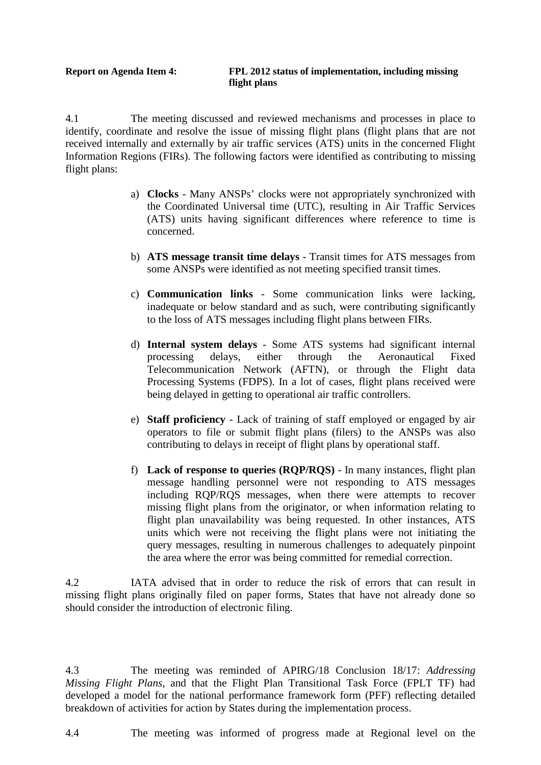4.1 The meeting discussed and reviewed mechanisms and processes in place to identify, coordinate and resolve the issue of missing flight plans (flight plans that are not received internally and externally by air traffic services (ATS) units in the concerned Flight Information Regions (FIRs). The following factors were identified as contributing to missing flight plans:

- a) **Clocks** Many ANSPs' clocks were not appropriately synchronized with the Coordinated Universal time (UTC), resulting in Air Traffic Services (ATS) units having significant differences where reference to time is concerned.
- b) **ATS message transit time delays** Transit times for ATS messages from some ANSPs were identified as not meeting specified transit times.
- c) **Communication links** Some communication links were lacking, inadequate or below standard and as such, were contributing significantly to the loss of ATS messages including flight plans between FIRs.
- d) **Internal system delays** Some ATS systems had significant internal processing delays, either through the Aeronautical Fixed Telecommunication Network (AFTN), or through the Flight data Processing Systems (FDPS). In a lot of cases, flight plans received were being delayed in getting to operational air traffic controllers.
- e) **Staff proficiency** Lack of training of staff employed or engaged by air operators to file or submit flight plans (filers) to the ANSPs was also contributing to delays in receipt of flight plans by operational staff.
- f) **Lack of response to queries (RQP/RQS)** In many instances, flight plan message handling personnel were not responding to ATS messages including RQP/RQS messages, when there were attempts to recover missing flight plans from the originator, or when information relating to flight plan unavailability was being requested. In other instances, ATS units which were not receiving the flight plans were not initiating the query messages, resulting in numerous challenges to adequately pinpoint the area where the error was being committed for remedial correction.

4.2 IATA advised that in order to reduce the risk of errors that can result in missing flight plans originally filed on paper forms, States that have not already done so should consider the introduction of electronic filing.

4.3 The meeting was reminded of APIRG/18 Conclusion 18/17: *Addressing Missing Flight Plans*, and that the Flight Plan Transitional Task Force (FPLT TF) had developed a model for the national performance framework form (PFF) reflecting detailed breakdown of activities for action by States during the implementation process.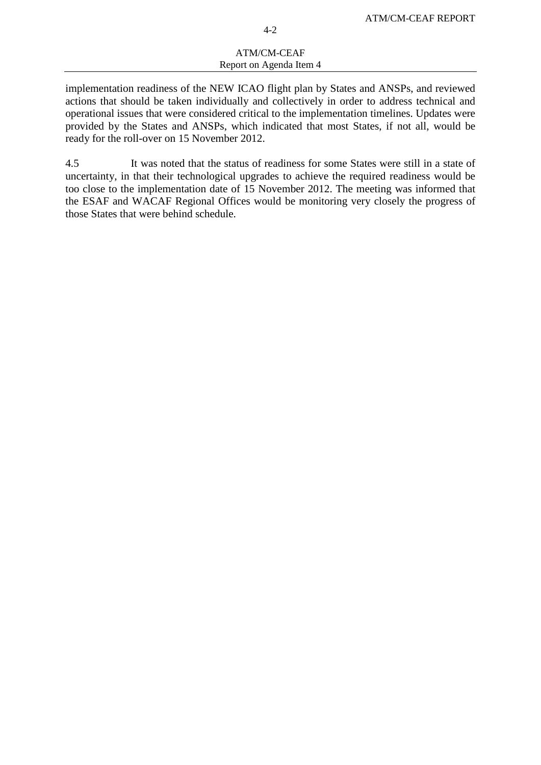#### ATM/CM-CEAF Report on Agenda Item 4

implementation readiness of the NEW ICAO flight plan by States and ANSPs, and reviewed actions that should be taken individually and collectively in order to address technical and operational issues that were considered critical to the implementation timelines. Updates were provided by the States and ANSPs, which indicated that most States, if not all, would be ready for the roll-over on 15 November 2012.

4.5 It was noted that the status of readiness for some States were still in a state of uncertainty, in that their technological upgrades to achieve the required readiness would be too close to the implementation date of 15 November 2012. The meeting was informed that the ESAF and WACAF Regional Offices would be monitoring very closely the progress of those States that were behind schedule.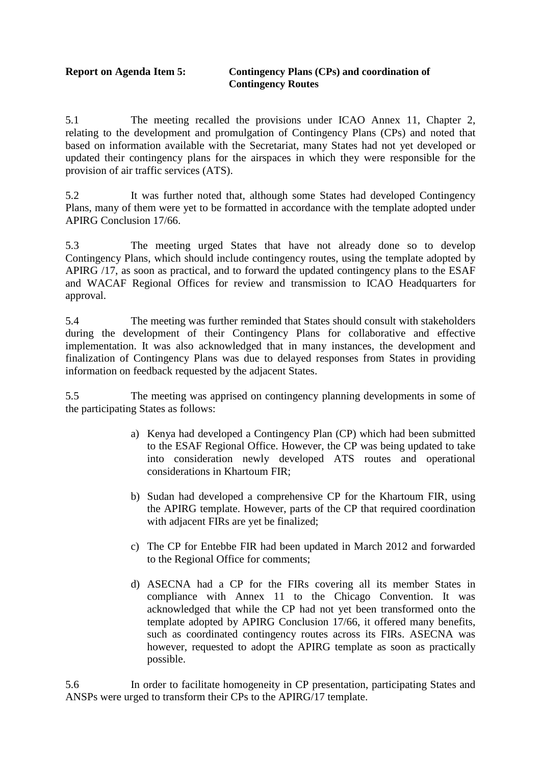## **Report on Agenda Item 5: Contingency Plans (CPs) and coordination of Contingency Routes**

5.1 The meeting recalled the provisions under ICAO Annex 11, Chapter 2, relating to the development and promulgation of Contingency Plans (CPs) and noted that based on information available with the Secretariat, many States had not yet developed or updated their contingency plans for the airspaces in which they were responsible for the provision of air traffic services (ATS).

5.2 It was further noted that, although some States had developed Contingency Plans, many of them were yet to be formatted in accordance with the template adopted under APIRG Conclusion 17/66.

5.3 The meeting urged States that have not already done so to develop Contingency Plans, which should include contingency routes, using the template adopted by APIRG /17, as soon as practical, and to forward the updated contingency plans to the ESAF and WACAF Regional Offices for review and transmission to ICAO Headquarters for approval.

5.4 The meeting was further reminded that States should consult with stakeholders during the development of their Contingency Plans for collaborative and effective implementation. It was also acknowledged that in many instances, the development and finalization of Contingency Plans was due to delayed responses from States in providing information on feedback requested by the adjacent States.

5.5 The meeting was apprised on contingency planning developments in some of the participating States as follows:

- a) Kenya had developed a Contingency Plan (CP) which had been submitted to the ESAF Regional Office. However, the CP was being updated to take into consideration newly developed ATS routes and operational considerations in Khartoum FIR;
- b) Sudan had developed a comprehensive CP for the Khartoum FIR, using the APIRG template. However, parts of the CP that required coordination with adjacent FIRs are yet be finalized;
- c) The CP for Entebbe FIR had been updated in March 2012 and forwarded to the Regional Office for comments;
- d) ASECNA had a CP for the FIRs covering all its member States in compliance with Annex 11 to the Chicago Convention. It was acknowledged that while the CP had not yet been transformed onto the template adopted by APIRG Conclusion 17/66, it offered many benefits, such as coordinated contingency routes across its FIRs. ASECNA was however, requested to adopt the APIRG template as soon as practically possible.

5.6 In order to facilitate homogeneity in CP presentation, participating States and ANSPs were urged to transform their CPs to the APIRG/17 template.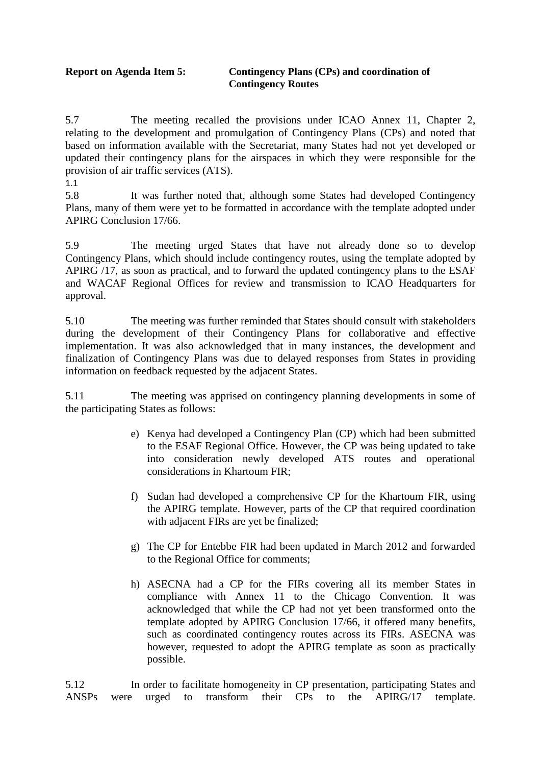## **Report on Agenda Item 5: Contingency Plans (CPs) and coordination of Contingency Routes**

5.7 The meeting recalled the provisions under ICAO Annex 11, Chapter 2, relating to the development and promulgation of Contingency Plans (CPs) and noted that based on information available with the Secretariat, many States had not yet developed or updated their contingency plans for the airspaces in which they were responsible for the provision of air traffic services (ATS).

1.1

5.8 It was further noted that, although some States had developed Contingency Plans, many of them were yet to be formatted in accordance with the template adopted under APIRG Conclusion 17/66.

5.9 The meeting urged States that have not already done so to develop Contingency Plans, which should include contingency routes, using the template adopted by APIRG /17, as soon as practical, and to forward the updated contingency plans to the ESAF and WACAF Regional Offices for review and transmission to ICAO Headquarters for approval.

5.10 The meeting was further reminded that States should consult with stakeholders during the development of their Contingency Plans for collaborative and effective implementation. It was also acknowledged that in many instances, the development and finalization of Contingency Plans was due to delayed responses from States in providing information on feedback requested by the adjacent States.

5.11 The meeting was apprised on contingency planning developments in some of the participating States as follows:

- e) Kenya had developed a Contingency Plan (CP) which had been submitted to the ESAF Regional Office. However, the CP was being updated to take into consideration newly developed ATS routes and operational considerations in Khartoum FIR;
- f) Sudan had developed a comprehensive CP for the Khartoum FIR, using the APIRG template. However, parts of the CP that required coordination with adjacent FIRs are yet be finalized;
- g) The CP for Entebbe FIR had been updated in March 2012 and forwarded to the Regional Office for comments;
- h) ASECNA had a CP for the FIRs covering all its member States in compliance with Annex 11 to the Chicago Convention. It was acknowledged that while the CP had not yet been transformed onto the template adopted by APIRG Conclusion 17/66, it offered many benefits, such as coordinated contingency routes across its FIRs. ASECNA was however, requested to adopt the APIRG template as soon as practically possible.

5.12 In order to facilitate homogeneity in CP presentation, participating States and ANSPs were urged to transform their CPs to the APIRG/17 template.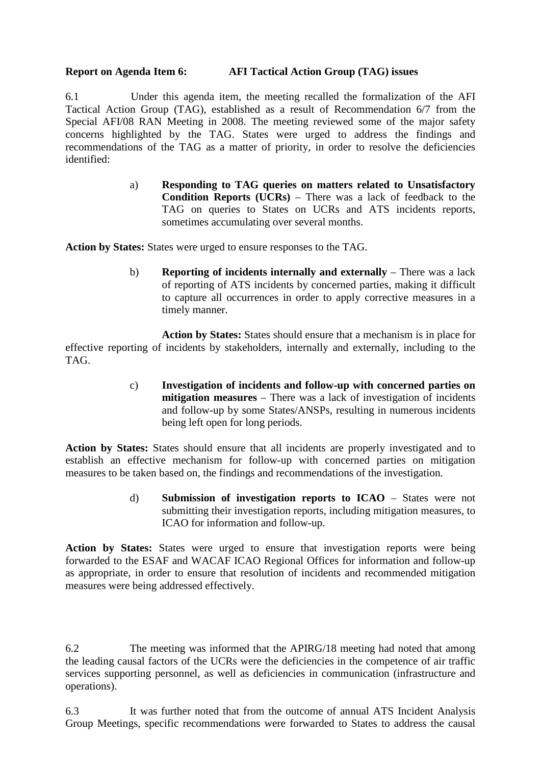## **Report on Agenda Item 6: AFI Tactical Action Group (TAG) issues**

6.1 Under this agenda item, the meeting recalled the formalization of the AFI Tactical Action Group (TAG), established as a result of Recommendation 6/7 from the Special AFI/08 RAN Meeting in 2008. The meeting reviewed some of the major safety concerns highlighted by the TAG. States were urged to address the findings and recommendations of the TAG as a matter of priority, in order to resolve the deficiencies identified:

> a) **Responding to TAG queries on matters related to Unsatisfactory Condition Reports (UCRs)** – There was a lack of feedback to the TAG on queries to States on UCRs and ATS incidents reports, sometimes accumulating over several months.

**Action by States:** States were urged to ensure responses to the TAG.

b) **Reporting of incidents internally and externally** – There was a lack of reporting of ATS incidents by concerned parties, making it difficult to capture all occurrences in order to apply corrective measures in a timely manner.

**Action by States:** States should ensure that a mechanism is in place for effective reporting of incidents by stakeholders, internally and externally, including to the TAG.

> c) **Investigation of incidents and follow-up with concerned parties on mitigation measures** – There was a lack of investigation of incidents and follow-up by some States/ANSPs, resulting in numerous incidents being left open for long periods.

**Action by States:** States should ensure that all incidents are properly investigated and to establish an effective mechanism for follow-up with concerned parties on mitigation measures to be taken based on, the findings and recommendations of the investigation.

> d) **Submission of investigation reports to ICAO** – States were not submitting their investigation reports, including mitigation measures, to ICAO for information and follow-up.

**Action by States:** States were urged to ensure that investigation reports were being forwarded to the ESAF and WACAF ICAO Regional Offices for information and follow-up as appropriate, in order to ensure that resolution of incidents and recommended mitigation measures were being addressed effectively.

6.2 The meeting was informed that the APIRG/18 meeting had noted that among the leading causal factors of the UCRs were the deficiencies in the competence of air traffic services supporting personnel, as well as deficiencies in communication (infrastructure and operations).

6.3 It was further noted that from the outcome of annual ATS Incident Analysis Group Meetings, specific recommendations were forwarded to States to address the causal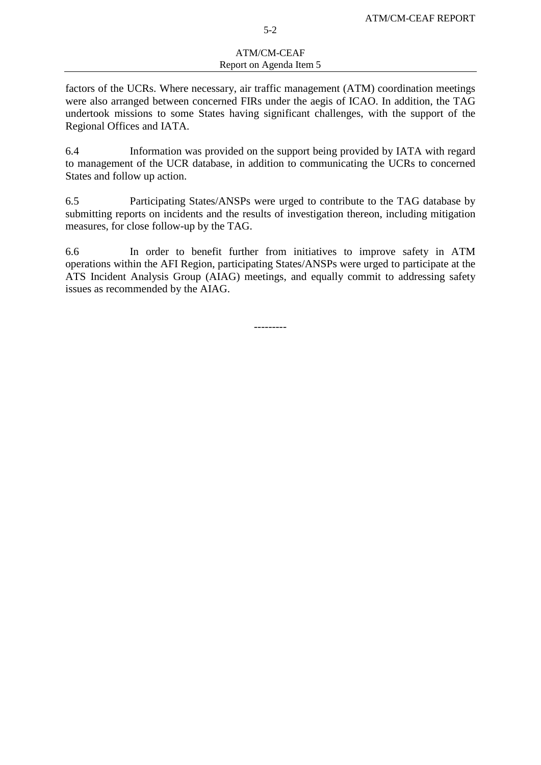#### ATM/CM-CEAF Report on Agenda Item 5

factors of the UCRs. Where necessary, air traffic management (ATM) coordination meetings were also arranged between concerned FIRs under the aegis of ICAO. In addition, the TAG undertook missions to some States having significant challenges, with the support of the Regional Offices and IATA.

6.4 Information was provided on the support being provided by IATA with regard to management of the UCR database, in addition to communicating the UCRs to concerned States and follow up action.

6.5 Participating States/ANSPs were urged to contribute to the TAG database by submitting reports on incidents and the results of investigation thereon, including mitigation measures, for close follow-up by the TAG.

6.6 In order to benefit further from initiatives to improve safety in ATM operations within the AFI Region, participating States/ANSPs were urged to participate at the ATS Incident Analysis Group (AIAG) meetings, and equally commit to addressing safety issues as recommended by the AIAG.

---------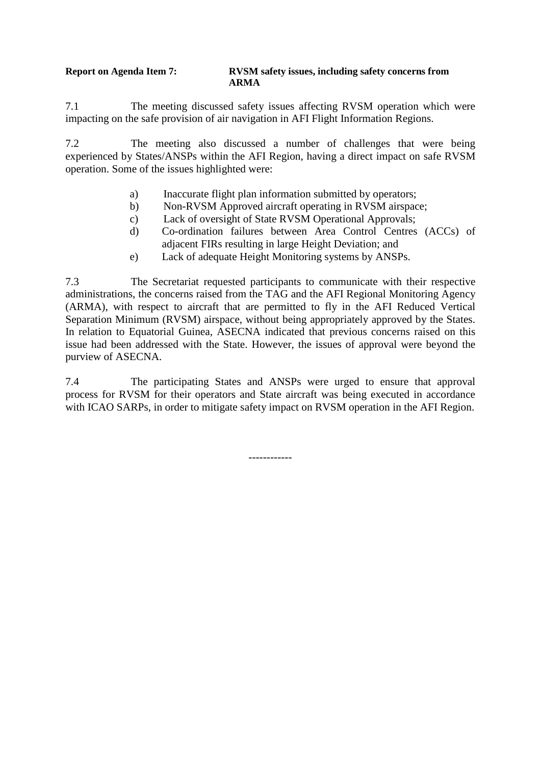### **Report on Agenda Item 7: RVSM safety issues, including safety concerns from ARMA**

7.1 The meeting discussed safety issues affecting RVSM operation which were impacting on the safe provision of air navigation in AFI Flight Information Regions.

7.2 The meeting also discussed a number of challenges that were being experienced by States/ANSPs within the AFI Region, having a direct impact on safe RVSM operation. Some of the issues highlighted were:

- a) Inaccurate flight plan information submitted by operators;
- b) Non-RVSM Approved aircraft operating in RVSM airspace;
- c) Lack of oversight of State RVSM Operational Approvals;
- d) Co-ordination failures between Area Control Centres (ACCs) of adjacent FIRs resulting in large Height Deviation; and
- e) Lack of adequate Height Monitoring systems by ANSPs.

7.3 The Secretariat requested participants to communicate with their respective administrations, the concerns raised from the TAG and the AFI Regional Monitoring Agency (ARMA), with respect to aircraft that are permitted to fly in the AFI Reduced Vertical Separation Minimum (RVSM) airspace, without being appropriately approved by the States. In relation to Equatorial Guinea, ASECNA indicated that previous concerns raised on this issue had been addressed with the State. However, the issues of approval were beyond the purview of ASECNA.

7.4 The participating States and ANSPs were urged to ensure that approval process for RVSM for their operators and State aircraft was being executed in accordance with ICAO SARPs, in order to mitigate safety impact on RVSM operation in the AFI Region.

------------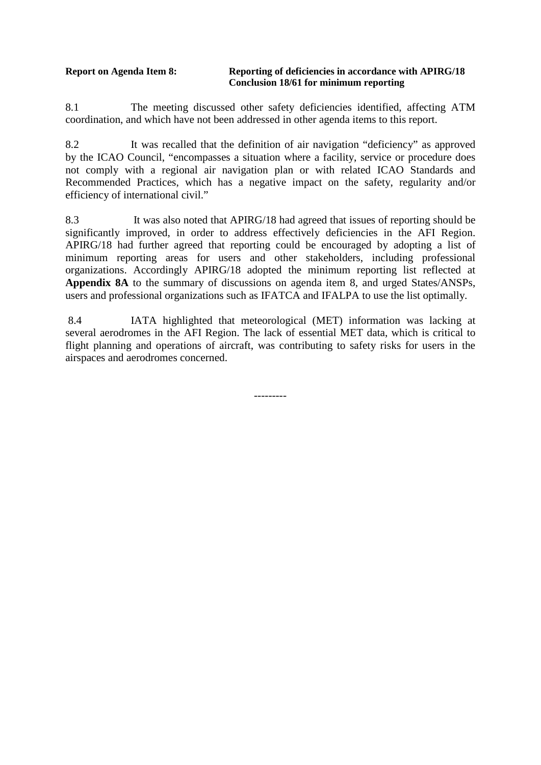#### **Report on Agenda Item 8: Reporting of deficiencies in accordance with APIRG/18 Conclusion 18/61 for minimum reporting**

8.1 The meeting discussed other safety deficiencies identified, affecting ATM coordination, and which have not been addressed in other agenda items to this report.

8.2 It was recalled that the definition of air navigation "deficiency" as approved by the ICAO Council, "encompasses a situation where a facility, service or procedure does not comply with a regional air navigation plan or with related ICAO Standards and Recommended Practices, which has a negative impact on the safety, regularity and/or efficiency of international civil."

8.3 It was also noted that APIRG/18 had agreed that issues of reporting should be significantly improved, in order to address effectively deficiencies in the AFI Region. APIRG/18 had further agreed that reporting could be encouraged by adopting a list of minimum reporting areas for users and other stakeholders, including professional organizations. Accordingly APIRG/18 adopted the minimum reporting list reflected at **Appendix 8A** to the summary of discussions on agenda item 8, and urged States/ANSPs, users and professional organizations such as IFATCA and IFALPA to use the list optimally.

8.4 IATA highlighted that meteorological (MET) information was lacking at several aerodromes in the AFI Region. The lack of essential MET data, which is critical to flight planning and operations of aircraft, was contributing to safety risks for users in the airspaces and aerodromes concerned.

---------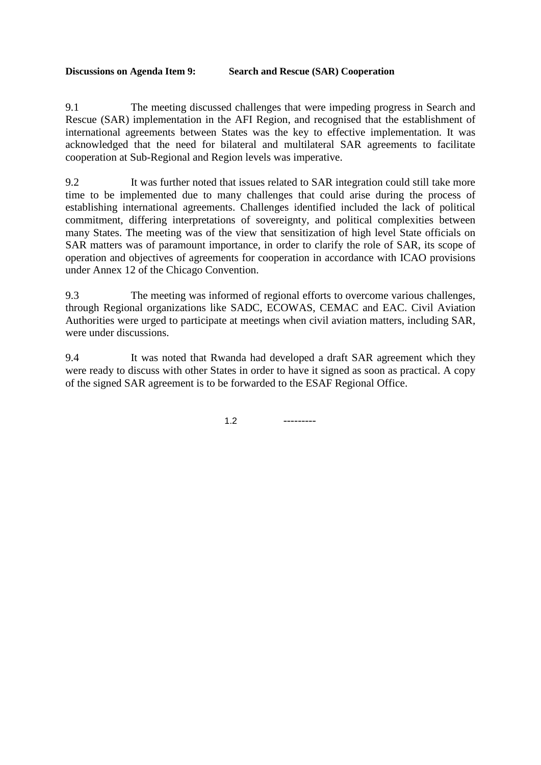## **Discussions on Agenda Item 9: Search and Rescue (SAR) Cooperation**

9.1 The meeting discussed challenges that were impeding progress in Search and Rescue (SAR) implementation in the AFI Region, and recognised that the establishment of international agreements between States was the key to effective implementation. It was acknowledged that the need for bilateral and multilateral SAR agreements to facilitate cooperation at Sub-Regional and Region levels was imperative.

9.2 It was further noted that issues related to SAR integration could still take more time to be implemented due to many challenges that could arise during the process of establishing international agreements. Challenges identified included the lack of political commitment, differing interpretations of sovereignty, and political complexities between many States. The meeting was of the view that sensitization of high level State officials on SAR matters was of paramount importance, in order to clarify the role of SAR, its scope of operation and objectives of agreements for cooperation in accordance with ICAO provisions under Annex 12 of the Chicago Convention.

9.3 The meeting was informed of regional efforts to overcome various challenges, through Regional organizations like SADC, ECOWAS, CEMAC and EAC. Civil Aviation Authorities were urged to participate at meetings when civil aviation matters, including SAR, were under discussions.

9.4 It was noted that Rwanda had developed a draft SAR agreement which they were ready to discuss with other States in order to have it signed as soon as practical. A copy of the signed SAR agreement is to be forwarded to the ESAF Regional Office.

 $1.2$  ---------